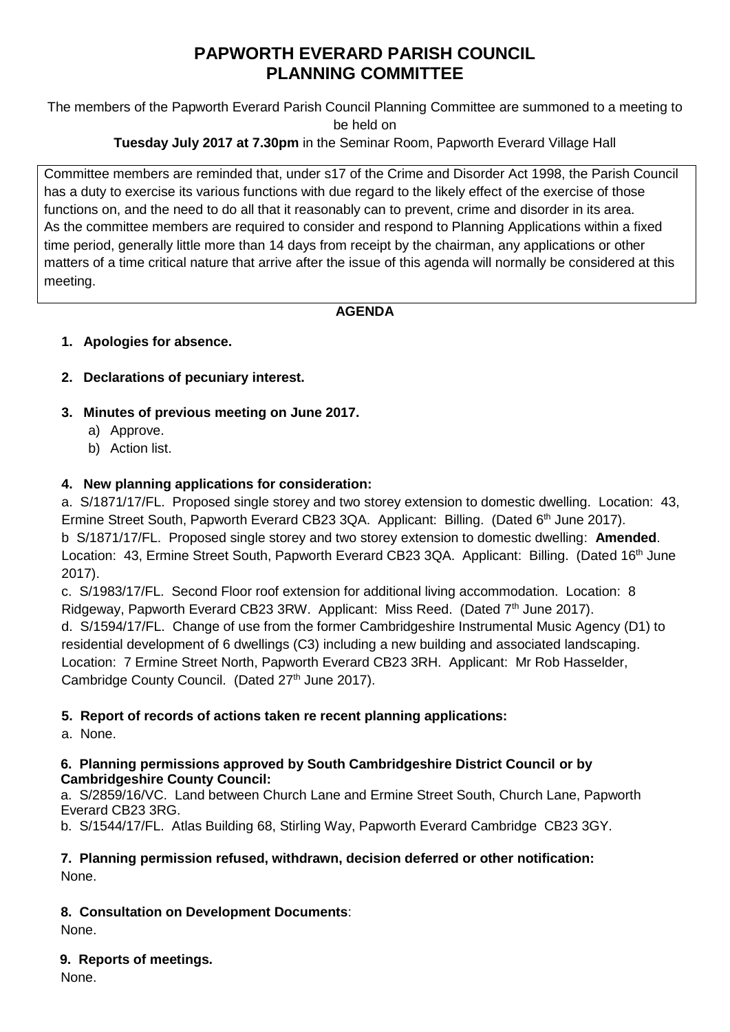# **PAPWORTH EVERARD PARISH COUNCIL PLANNING COMMITTEE**

The members of the Papworth Everard Parish Council Planning Committee are summoned to a meeting to be held on

# **Tuesday July 2017 at 7.30pm** in the Seminar Room, Papworth Everard Village Hall

Committee members are reminded that, under s17 of the Crime and Disorder Act 1998, the Parish Council has a duty to exercise its various functions with due regard to the likely effect of the exercise of those functions on, and the need to do all that it reasonably can to prevent, crime and disorder in its area. As the committee members are required to consider and respond to Planning Applications within a fixed time period, generally little more than 14 days from receipt by the chairman, any applications or other matters of a time critical nature that arrive after the issue of this agenda will normally be considered at this meeting.

### **AGENDA**

# **1. Apologies for absence.**

# **2. Declarations of pecuniary interest.**

- **3. Minutes of previous meeting on June 2017.**
	- a) Approve.
	- b) Action list.

### **4. New planning applications for consideration:**

a. S/1871/17/FL. Proposed single storey and two storey extension to domestic dwelling. Location: 43, Ermine Street South, Papworth Everard CB23 3QA. Applicant: Billing. (Dated 6<sup>th</sup> June 2017). b S/1871/17/FL. Proposed single storey and two storey extension to domestic dwelling: **Amended**. Location: 43, Ermine Street South, Papworth Everard CB23 3QA. Applicant: Billing. (Dated 16<sup>th</sup> June 2017).

c. S/1983/17/FL. Second Floor roof extension for additional living accommodation. Location: 8 Ridgeway, Papworth Everard CB23 3RW. Applicant: Miss Reed. (Dated  $7<sup>th</sup>$  June 2017). d. S/1594/17/FL. Change of use from the former Cambridgeshire Instrumental Music Agency (D1) to residential development of 6 dwellings (C3) including a new building and associated landscaping. Location: 7 Ermine Street North, Papworth Everard CB23 3RH. Applicant: Mr Rob Hasselder, Cambridge County Council. (Dated 27<sup>th</sup> June 2017).

### **5. Report of records of actions taken re recent planning applications:**

a. None.

#### **6. Planning permissions approved by South Cambridgeshire District Council or by Cambridgeshire County Council:**

a. S/2859/16/VC. Land between Church Lane and Ermine Street South, Church Lane, Papworth Everard CB23 3RG.

b. S/1544/17/FL. Atlas Building 68, Stirling Way, Papworth Everard Cambridge CB23 3GY.

#### **7. Planning permission refused, withdrawn, decision deferred or other notification:** None.

### **8. Consultation on Development Documents**:

None.

### **9. Reports of meetings.**

None.